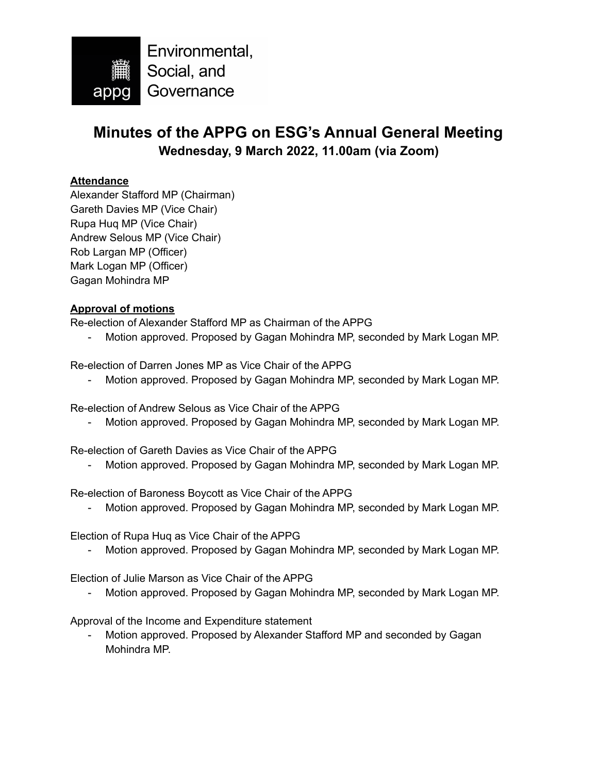

# **Minutes of the APPG on ESG's Annual General Meeting Wednesday, 9 March 2022, 11.00am (via Zoom)**

## **Attendance**

Alexander Stafford MP (Chairman) Gareth Davies MP (Vice Chair) Rupa Huq MP (Vice Chair) Andrew Selous MP (Vice Chair) Rob Largan MP (Officer) Mark Logan MP (Officer) Gagan Mohindra MP

## **Approval of motions**

Re-election of Alexander Stafford MP as Chairman of the APPG

- Motion approved. Proposed by Gagan Mohindra MP, seconded by Mark Logan MP.

Re-election of Darren Jones MP as Vice Chair of the APPG

- Motion approved. Proposed by Gagan Mohindra MP, seconded by Mark Logan MP.

Re-election of Andrew Selous as Vice Chair of the APPG

- Motion approved. Proposed by Gagan Mohindra MP, seconded by Mark Logan MP.

Re-election of Gareth Davies as Vice Chair of the APPG

- Motion approved. Proposed by Gagan Mohindra MP, seconded by Mark Logan MP.

Re-election of Baroness Boycott as Vice Chair of the APPG

- Motion approved. Proposed by Gagan Mohindra MP, seconded by Mark Logan MP.

Election of Rupa Huq as Vice Chair of the APPG

- Motion approved. Proposed by Gagan Mohindra MP, seconded by Mark Logan MP.

Election of Julie Marson as Vice Chair of the APPG

- Motion approved. Proposed by Gagan Mohindra MP, seconded by Mark Logan MP.

Approval of the Income and Expenditure statement

- Motion approved. Proposed by Alexander Stafford MP and seconded by Gagan Mohindra MP.